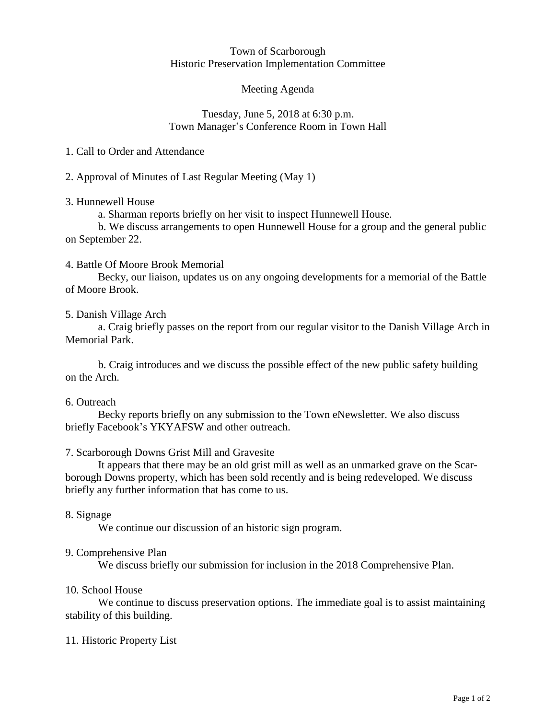#### Town of Scarborough Historic Preservation Implementation Committee

#### Meeting Agenda

#### Tuesday, June 5, 2018 at 6:30 p.m. Town Manager's Conference Room in Town Hall

#### 1. Call to Order and Attendance

2. Approval of Minutes of Last Regular Meeting (May 1)

# 3. Hunnewell House

a. Sharman reports briefly on her visit to inspect Hunnewell House.

b. We discuss arrangements to open Hunnewell House for a group and the general public on September 22.

# 4. Battle Of Moore Brook Memorial

Becky, our liaison, updates us on any ongoing developments for a memorial of the Battle of Moore Brook.

# 5. Danish Village Arch

a. Craig briefly passes on the report from our regular visitor to the Danish Village Arch in Memorial Park.

b. Craig introduces and we discuss the possible effect of the new public safety building on the Arch.

# 6. Outreach

Becky reports briefly on any submission to the Town eNewsletter. We also discuss briefly Facebook's YKYAFSW and other outreach.

# 7. Scarborough Downs Grist Mill and Gravesite

It appears that there may be an old grist mill as well as an unmarked grave on the Scarborough Downs property, which has been sold recently and is being redeveloped. We discuss briefly any further information that has come to us.

# 8. Signage

We continue our discussion of an historic sign program.

# 9. Comprehensive Plan

We discuss briefly our submission for inclusion in the 2018 Comprehensive Plan.

#### 10. School House

We continue to discuss preservation options. The immediate goal is to assist maintaining stability of this building.

# 11. Historic Property List